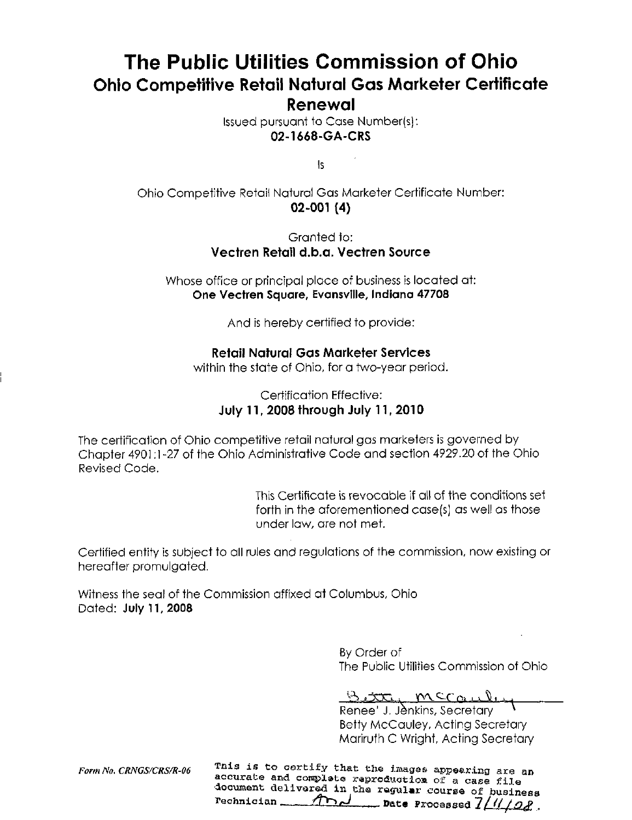# The Public Utilities Commission of Ohio Ohio Competitive Retail Natural Gas Marketer Certificate Renewal

Issued pursuant to Case Number(s): 02-1668-GA-CRS

Is

Ohio Competitive Retoit Natural Gas Marketer Certificate Number; 02-001 (4)

#### Granted to: Vectren Retail d.b.a. Vectren Source

Whose office or principal place of business is located at: One Vectren Square, Evansville, Indiana 47708

And is hereby certified to provide:

### Retail Natural Gas Marketer Services

within the state of Ohio, for a two-year period.

### Certification Effective: July 11, 2008 through July 11, 2010

The certification of Ohio competitive retail natural gas marketers is governed by Chapter 4901:1-27 of the Ohio Administrative Code and section 4929.20 of the Ohio Revised Code.

> This Certificate is revocable if all of the conditions set forth in the aforementioned case(s) as well as those under law, are not met.

Certified entity is subject to all rules and regulations of the commission, now existing or hereafter promulgated.

Witness the seal of the Commission affixed at Columbus, Ohio Dated: July 11,2008

> By Order of The Public Utilities Commission of Ohio

Betty mccaule

Renee' J. Jenkins, Secretary Betty McCauley, Acting Secretary Mariruth C Wright, Acting Secretary

Form No. CRNGS/CRS/R-06  $^{\circ}$  This is to certify that the images appearing are an accurate and complete reproduction of a case file document delivered in the regular course of business  $r$ echnician  $\overline{f}$   $\overline{f}$   $\overline{f}$  ,  $\overline{f}$  ,  $\overline{f}$  ,  $\overline{f}$  ,  $\overline{f}$  ,  $\overline{f}$  ,  $\overline{f}$  ,  $\overline{f}$  ,  $\overline{f}$  ,  $\overline{f}$  ,  $\overline{f}$  ,  $\overline{f}$  ,  $\overline{f}$  ,  $\overline{f}$  ,  $\overline{f}$  ,  $\overline{f}$  ,  $\overline{f}$  ,  $\over$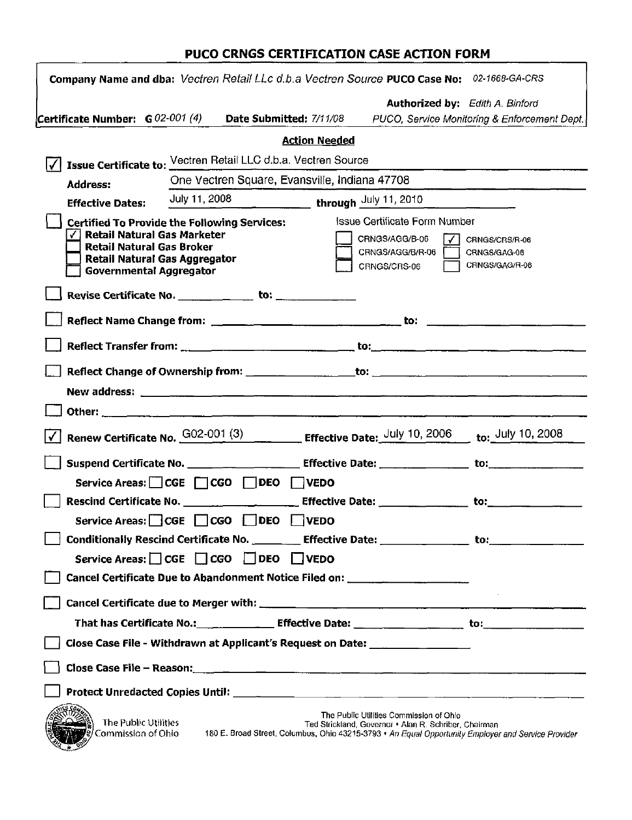## PUCO CRNGS CERTIFICATION CASE ACTION FORM

| Company Name and dba: Vectren Retail LLc d.b.a Vectren Source PUCO Case No: 02-1668-GA-CRS                                                                                                              |                                                             |                                                                                                                                         |                                                                                                  |                                                                                                     |
|---------------------------------------------------------------------------------------------------------------------------------------------------------------------------------------------------------|-------------------------------------------------------------|-----------------------------------------------------------------------------------------------------------------------------------------|--------------------------------------------------------------------------------------------------|-----------------------------------------------------------------------------------------------------|
|                                                                                                                                                                                                         |                                                             |                                                                                                                                         |                                                                                                  | <b>Authorized by:</b> Edith A. Binford                                                              |
| Certificate Number: $G O2-O01$ (4) Date Submitted: 7/11/08                                                                                                                                              |                                                             |                                                                                                                                         |                                                                                                  | PUCO, Service Monitoring & Enforcement Dept.                                                        |
|                                                                                                                                                                                                         |                                                             | <b>Action Needed</b>                                                                                                                    |                                                                                                  |                                                                                                     |
| Issue Certificate to: Vectren Retail LLC d.b.a. Vectren Source                                                                                                                                          |                                                             |                                                                                                                                         |                                                                                                  |                                                                                                     |
| <b>Address:</b>                                                                                                                                                                                         | One Vectren Square, Evansville, Indiana 47708               |                                                                                                                                         |                                                                                                  |                                                                                                     |
| <b>Effective Dates:</b>                                                                                                                                                                                 | July 11, 2008 $\frac{1}{2}$ through $\frac{$ July 11, 2010  |                                                                                                                                         |                                                                                                  |                                                                                                     |
| <b>Certified To Provide the Following Services:</b><br><b>Retail Natural Gas Marketer</b><br><b>Retail Natural Gas Broker</b><br><b>Retail Natural Gas Aggregator</b><br><b>Governmental Aggregator</b> |                                                             | Issue Certificate Form Number<br>CRNGS/AGG/B-06<br>CRNGS/CRS/R-06<br>CRNGS/AGG/B/R-06<br>CRNGS/GAG-06<br>CRNGS/GAG/R-06<br>CRNGS/CRS-06 |                                                                                                  |                                                                                                     |
|                                                                                                                                                                                                         |                                                             |                                                                                                                                         |                                                                                                  |                                                                                                     |
|                                                                                                                                                                                                         |                                                             |                                                                                                                                         |                                                                                                  |                                                                                                     |
|                                                                                                                                                                                                         |                                                             |                                                                                                                                         |                                                                                                  |                                                                                                     |
|                                                                                                                                                                                                         |                                                             |                                                                                                                                         |                                                                                                  |                                                                                                     |
|                                                                                                                                                                                                         |                                                             |                                                                                                                                         |                                                                                                  |                                                                                                     |
|                                                                                                                                                                                                         |                                                             |                                                                                                                                         |                                                                                                  |                                                                                                     |
| Renew Certificate No. $\frac{G02-001(3)}{3}$ Effective Date: $\frac{July 10, 2006}{10, 2006}$ to: $\frac{July 10, 2008}{10, 2008}$                                                                      |                                                             |                                                                                                                                         |                                                                                                  |                                                                                                     |
|                                                                                                                                                                                                         |                                                             |                                                                                                                                         |                                                                                                  |                                                                                                     |
|                                                                                                                                                                                                         | Service Areas: CGE CGO DEO VEDO                             |                                                                                                                                         |                                                                                                  |                                                                                                     |
|                                                                                                                                                                                                         |                                                             |                                                                                                                                         |                                                                                                  |                                                                                                     |
|                                                                                                                                                                                                         | Service Areas: CGE CGO DEO VEDO                             |                                                                                                                                         |                                                                                                  |                                                                                                     |
| Conditionally Rescind Certificate No. __________ Effective Date: ________________ to: ______________                                                                                                    |                                                             |                                                                                                                                         |                                                                                                  |                                                                                                     |
|                                                                                                                                                                                                         | Service Areas: $\Box$ CGE $\Box$ CGO $\Box$ DEO $\Box$ VEDO |                                                                                                                                         |                                                                                                  |                                                                                                     |
| Cancel Certificate Due to Abandonment Notice Filed on: _________________________                                                                                                                        |                                                             |                                                                                                                                         |                                                                                                  |                                                                                                     |
|                                                                                                                                                                                                         |                                                             |                                                                                                                                         |                                                                                                  |                                                                                                     |
|                                                                                                                                                                                                         |                                                             |                                                                                                                                         |                                                                                                  |                                                                                                     |
| Close Case File - Withdrawn at Applicant's Request on Date: ____________________                                                                                                                        |                                                             |                                                                                                                                         |                                                                                                  |                                                                                                     |
|                                                                                                                                                                                                         |                                                             |                                                                                                                                         |                                                                                                  |                                                                                                     |
|                                                                                                                                                                                                         |                                                             |                                                                                                                                         |                                                                                                  |                                                                                                     |
| The Public Utilities<br>Commission of Ohio                                                                                                                                                              |                                                             |                                                                                                                                         | The Public Utilities Commission of Ohio<br>Ted Strickland, Governor • Alan R. Schriber, Chairman | 180 E. Broad Street, Columbus, Ohio 43215-3793 • An Equal Opportunity Employer and Service Provider |